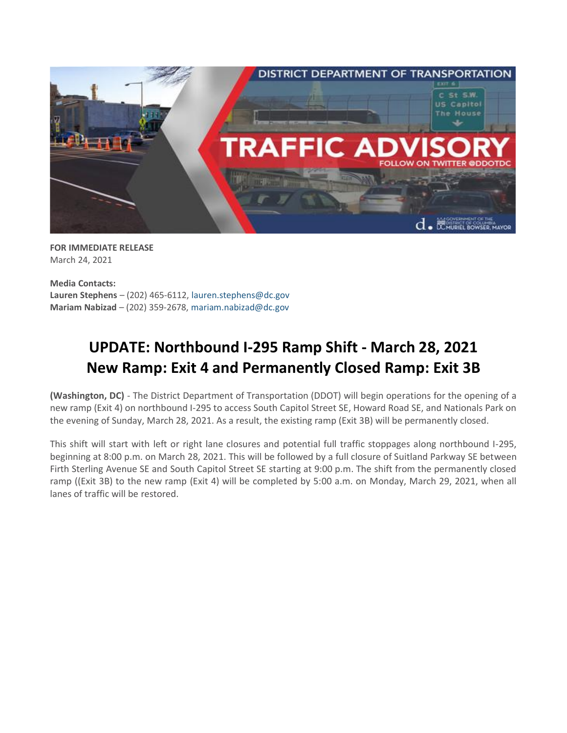

**FOR IMMEDIATE RELEASE** March 24, 2021

**Media Contacts: Lauren Stephens** – (202) 465-6112, [lauren.stephens@dc.gov](mailto:lauren.stephens@dc.gov) **Mariam Nabizad** – (202) 359-2678, [mariam.nabizad@dc.gov](mailto:mariam.nabizad@dc.gov)

## **UPDATE: Northbound I-295 Ramp Shift - March 28, 2021 New Ramp: Exit 4 and Permanently Closed Ramp: Exit 3B**

**(Washington, DC)** - The District Department of Transportation (DDOT) will begin operations for the opening of a new ramp (Exit 4) on northbound I-295 to access South Capitol Street SE, Howard Road SE, and Nationals Park on the evening of Sunday, March 28, 2021. As a result, the existing ramp (Exit 3B) will be permanently closed.

This shift will start with left or right lane closures and potential full traffic stoppages along northbound I-295, beginning at 8:00 p.m. on March 28, 2021. This will be followed by a full closure of Suitland Parkway SE between Firth Sterling Avenue SE and South Capitol Street SE starting at 9:00 p.m. The shift from the permanently closed ramp ((Exit 3B) to the new ramp (Exit 4) will be completed by 5:00 a.m. on Monday, March 29, 2021, when all lanes of traffic will be restored.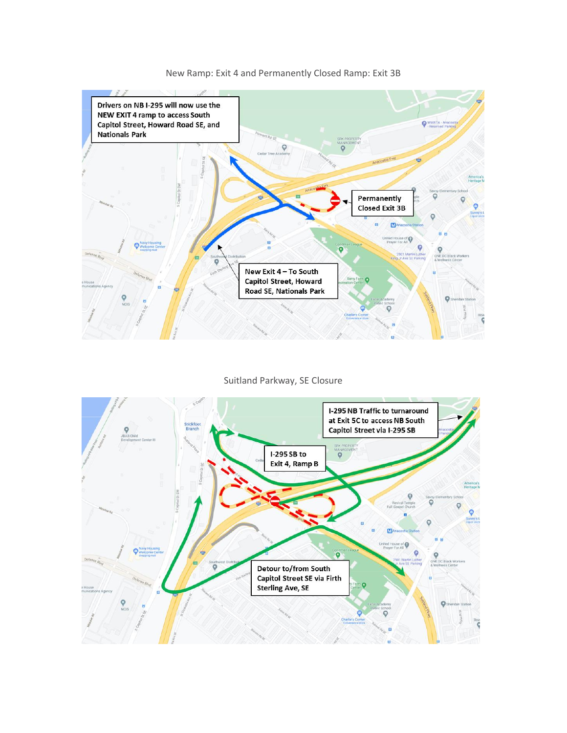

## New Ramp: Exit 4 and Permanently Closed Ramp: Exit 3B

Suitland Parkway, SE Closure